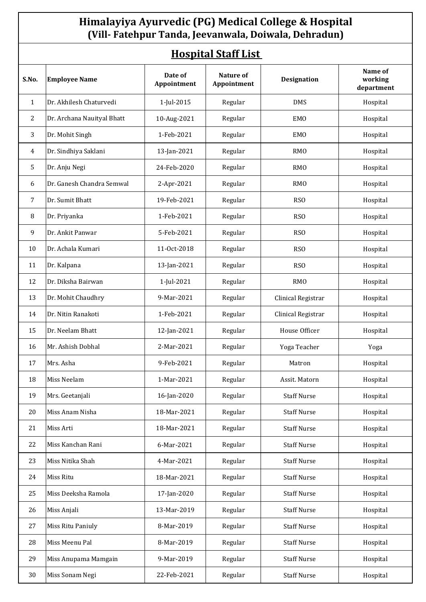### **Himalayiya Ayurvedic (PG) Medical College & Hospital (Vill- Fatehpur Tanda, Jeevanwala, Doiwala, Dehradun)**

### **Hospital Staff List**

| <u> 1109р1сан беанн 210е </u> |                            |                        |                          |                    |                                  |  |  |  |
|-------------------------------|----------------------------|------------------------|--------------------------|--------------------|----------------------------------|--|--|--|
| S.No.                         | <b>Employee Name</b>       | Date of<br>Appointment | Nature of<br>Appointment | Designation        | Name of<br>working<br>department |  |  |  |
| 1                             | Dr. Akhilesh Chaturvedi    | 1-Jul-2015             | Regular                  | <b>DMS</b>         | Hospital                         |  |  |  |
| 2                             | Dr. Archana Nauityal Bhatt | 10-Aug-2021            | Regular                  | <b>EMO</b>         | Hospital                         |  |  |  |
| 3                             | Dr. Mohit Singh            | 1-Feb-2021             | Regular                  | <b>EMO</b>         | Hospital                         |  |  |  |
| 4                             | Dr. Sindhiya Saklani       | 13-Jan-2021            | Regular                  | <b>RMO</b>         | Hospital                         |  |  |  |
| 5                             | Dr. Anju Negi              | 24-Feb-2020            | Regular                  | <b>RMO</b>         | Hospital                         |  |  |  |
| 6                             | Dr. Ganesh Chandra Semwal  | 2-Apr-2021             | Regular                  | <b>RMO</b>         | Hospital                         |  |  |  |
| 7                             | Dr. Sumit Bhatt            | 19-Feb-2021            | Regular                  | RS <sub>O</sub>    | Hospital                         |  |  |  |
| 8                             | Dr. Priyanka               | 1-Feb-2021             | Regular                  | RS <sub>O</sub>    | Hospital                         |  |  |  |
| 9                             | Dr. Ankit Panwar           | 5-Feb-2021             | Regular                  | RS <sub>O</sub>    | Hospital                         |  |  |  |
| 10                            | Dr. Achala Kumari          | 11-Oct-2018            | Regular                  | RS <sub>O</sub>    | Hospital                         |  |  |  |
| 11                            | Dr. Kalpana                | 13-Jan-2021            | Regular                  | RS <sub>O</sub>    | Hospital                         |  |  |  |
| 12                            | Dr. Diksha Bairwan         | 1-Jul-2021             | Regular                  | <b>RMO</b>         | Hospital                         |  |  |  |
| 13                            | Dr. Mohit Chaudhry         | 9-Mar-2021             | Regular                  | Clinical Registrar | Hospital                         |  |  |  |
| 14                            | Dr. Nitin Ranakoti         | 1-Feb-2021             | Regular                  | Clinical Registrar | Hospital                         |  |  |  |
| 15                            | Dr. Neelam Bhatt           | 12-Jan-2021            | Regular                  | House Officer      | Hospital                         |  |  |  |
| 16                            | Mr. Ashish Dobhal          | 2-Mar-2021             | Regular                  | Yoga Teacher       | Yoga                             |  |  |  |
| 17                            | Mrs. Asha                  | 9-Feb-2021             | Regular                  | Matron             | Hospital                         |  |  |  |
| $18\,$                        | Miss Neelam                | 1-Mar-2021             | Regular                  | Assit. Matorn      | Hospital                         |  |  |  |
| 19                            | Mrs. Geetanjali            | 16-Jan-2020            | Regular                  | <b>Staff Nurse</b> | Hospital                         |  |  |  |
| 20                            | Miss Anam Nisha            | 18-Mar-2021            | Regular                  | <b>Staff Nurse</b> | Hospital                         |  |  |  |
| 21                            | Miss Arti                  | 18-Mar-2021            | Regular                  | <b>Staff Nurse</b> | Hospital                         |  |  |  |
| 22                            | Miss Kanchan Rani          | 6-Mar-2021             | Regular                  | <b>Staff Nurse</b> | Hospital                         |  |  |  |
| 23                            | Miss Nitika Shah           | 4-Mar-2021             | Regular                  | <b>Staff Nurse</b> | Hospital                         |  |  |  |
| 24                            | Miss Ritu                  | 18-Mar-2021            | Regular                  | <b>Staff Nurse</b> | Hospital                         |  |  |  |
| 25                            | Miss Deeksha Ramola        | 17-Jan-2020            | Regular                  | <b>Staff Nurse</b> | Hospital                         |  |  |  |
| 26                            | Miss Anjali                | 13-Mar-2019            | Regular                  | <b>Staff Nurse</b> | Hospital                         |  |  |  |
| 27                            | Miss Ritu Paniuly          | 8-Mar-2019             | Regular                  | <b>Staff Nurse</b> | Hospital                         |  |  |  |
| 28                            | Miss Meenu Pal             | 8-Mar-2019             | Regular                  | <b>Staff Nurse</b> | Hospital                         |  |  |  |
| 29                            | Miss Anupama Mamgain       | 9-Mar-2019             | Regular                  | <b>Staff Nurse</b> | Hospital                         |  |  |  |
| 30                            | Miss Sonam Negi            | 22-Feb-2021            | Regular                  | <b>Staff Nurse</b> | Hospital                         |  |  |  |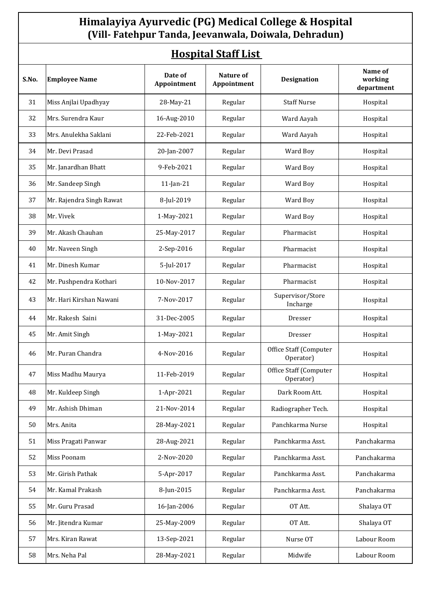## **Himalayiya Ayurvedic (PG) Medical College & Hospital (Vill- Fatehpur Tanda, Jeevanwala, Doiwala, Dehradun)**

# **Hospital Staff List**

| S.No. | <b>Employee Name</b>     | Date of<br>Appointment | Nature of<br>Appointment | <b>Designation</b>                  | Name of<br>working<br>department |
|-------|--------------------------|------------------------|--------------------------|-------------------------------------|----------------------------------|
| 31    | Miss Anjlai Upadhyay     | 28-May-21              | Regular                  | <b>Staff Nurse</b>                  | Hospital                         |
| 32    | Mrs. Surendra Kaur       | 16-Aug-2010            | Regular                  | Ward Aayah                          | Hospital                         |
| 33    | Mrs. Anulekha Saklani    | 22-Feb-2021            | Regular                  | Ward Aayah                          | Hospital                         |
| 34    | Mr. Devi Prasad          | 20-Jan-2007            | Regular                  | Ward Boy                            | Hospital                         |
| 35    | Mr. Janardhan Bhatt      | 9-Feb-2021             | Regular                  | Ward Boy                            | Hospital                         |
| 36    | Mr. Sandeep Singh        | $11$ -Jan- $21$        | Regular                  | Ward Boy                            | Hospital                         |
| 37    | Mr. Rajendra Singh Rawat | 8-Jul-2019             | Regular                  | Ward Boy                            | Hospital                         |
| 38    | Mr. Vivek                | 1-May-2021             | Regular                  | Ward Boy                            | Hospital                         |
| 39    | Mr. Akash Chauhan        | 25-May-2017            | Regular                  | Pharmacist                          | Hospital                         |
| 40    | Mr. Naveen Singh         | 2-Sep-2016             | Regular                  | Pharmacist                          | Hospital                         |
| 41    | Mr. Dinesh Kumar         | 5-Jul-2017             | Regular                  | Pharmacist                          | Hospital                         |
| 42    | Mr. Pushpendra Kothari   | 10-Nov-2017            | Regular                  | Pharmacist                          | Hospital                         |
| 43    | Mr. Hari Kirshan Nawani  | 7-Nov-2017             | Regular                  | Supervisor/Store<br>Incharge        | Hospital                         |
| 44    | Mr. Rakesh Saini         | 31-Dec-2005            | Regular                  | Dresser                             | Hospital                         |
| 45    | Mr. Amit Singh           | 1-May-2021             | Regular                  | Dresser                             | Hospital                         |
| 46    | Mr. Puran Chandra        | 4-Nov-2016             | Regular                  | Office Staff (Computer<br>Operator) | Hospital                         |
| 47    | Miss Madhu Maurya        | 11-Feb-2019            | Regular                  | Office Staff (Computer<br>Operator) | Hospital                         |
| 48    | Mr. Kuldeep Singh        | 1-Apr-2021             | Regular                  | Dark Room Att.                      | Hospital                         |
| 49    | Mr. Ashish Dhiman        | 21-Nov-2014            | Regular                  | Radiographer Tech.                  | Hospital                         |
| 50    | Mrs. Anita               | 28-May-2021            | Regular                  | Panchkarma Nurse                    | Hospital                         |
| 51    | Miss Pragati Panwar      | 28-Aug-2021            | Regular                  | Panchkarma Asst.                    | Panchakarma                      |
| 52    | Miss Poonam              | 2-Nov-2020             | Regular                  | Panchkarma Asst.                    | Panchakarma                      |
| 53    | Mr. Girish Pathak        | 5-Apr-2017             | Regular                  | Panchkarma Asst.                    | Panchakarma                      |
| 54    | Mr. Kamal Prakash        | 8-Jun-2015             | Regular                  | Panchkarma Asst.                    | Panchakarma                      |
| 55    | Mr. Guru Prasad          | 16-Jan-2006            | Regular                  | OT Att.                             | Shalaya OT                       |
| 56    | Mr. Jitendra Kumar       | 25-May-2009            | Regular                  | OT Att.                             | Shalaya OT                       |
| 57    | Mrs. Kiran Rawat         | 13-Sep-2021            | Regular                  | Nurse OT                            | Labour Room                      |
| 58    | Mrs. Neha Pal            | 28-May-2021            | Regular                  | Midwife                             | Labour Room                      |